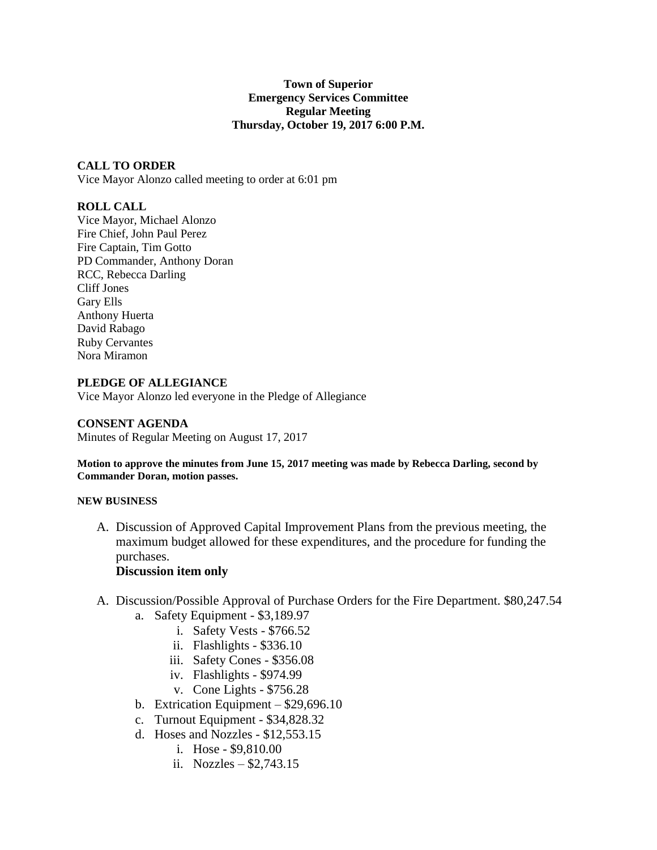## **Town of Superior Emergency Services Committee Regular Meeting Thursday, October 19, 2017 6:00 P.M.**

# **CALL TO ORDER**

Vice Mayor Alonzo called meeting to order at 6:01 pm

# **ROLL CALL**

Vice Mayor, Michael Alonzo Fire Chief, John Paul Perez Fire Captain, Tim Gotto PD Commander, Anthony Doran RCC, Rebecca Darling Cliff Jones Gary Ells Anthony Huerta David Rabago Ruby Cervantes Nora Miramon

## **PLEDGE OF ALLEGIANCE**

Vice Mayor Alonzo led everyone in the Pledge of Allegiance

### **CONSENT AGENDA**

Minutes of Regular Meeting on August 17, 2017

**Motion to approve the minutes from June 15, 2017 meeting was made by Rebecca Darling, second by Commander Doran, motion passes.**

#### **NEW BUSINESS**

A. Discussion of Approved Capital Improvement Plans from the previous meeting, the maximum budget allowed for these expenditures, and the procedure for funding the purchases.

# **Discussion item only**

- A. Discussion/Possible Approval of Purchase Orders for the Fire Department. \$80,247.54
	- a. Safety Equipment \$3,189.97
		- i. Safety Vests \$766.52
		- ii. Flashlights \$336.10
		- iii. Safety Cones \$356.08
		- iv. Flashlights \$974.99
		- v. Cone Lights \$756.28
	- b. Extrication Equipment \$29,696.10
	- c. Turnout Equipment \$34,828.32
	- d. Hoses and Nozzles \$12,553.15
		- i. Hose \$9,810.00
		- ii. Nozzles \$2,743.15